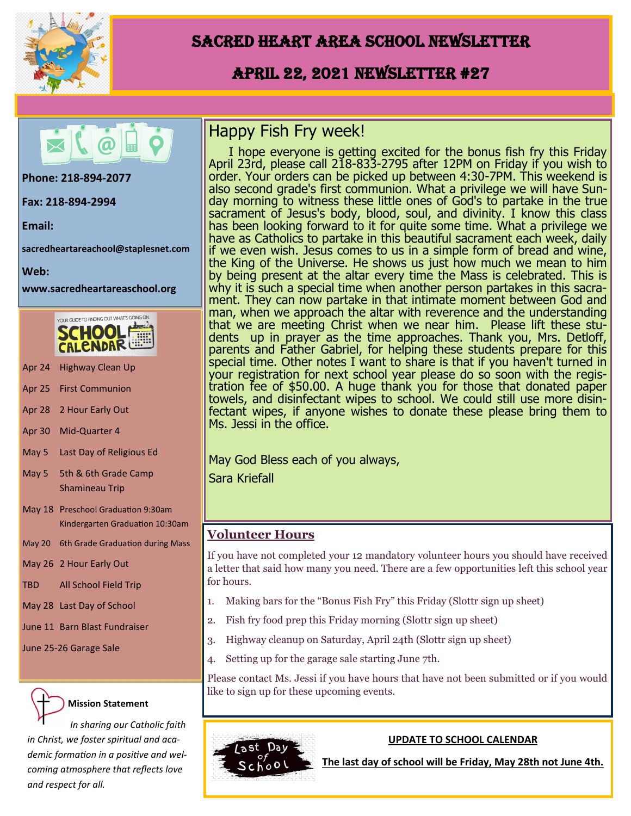

## Sacred Heart Area School Newsletter

## April 22, 2021 Newsletter #27



**Phone: 218-894-2077** 

**Fax: 218-894-2994**

**Email:** 

**sacredheartareachool@staplesnet.com**

**Web:** 

**www.sacredheartareaschool.org**



- Apr 24 Highway Clean Up
- Apr 25 First Communion
- Apr 28 2 Hour Early Out
- Apr 30 Mid-Quarter 4
- May 5 Last Day of Religious Ed
- May 5 5th & 6th Grade Camp Shamineau Trip
- May 18 Preschool Graduation 9:30am Kindergarten Graduation 10:30am
- May 20 6th Grade Graduation during Mass

May 26 2 Hour Early Out

- TBD All School Field Trip
- May 28 Last Day of School
- June 11 Barn Blast Fundraiser
- June 25-26 Garage Sale

### **Mission Statement**

*In sharing our Catholic faith in Christ, we foster spiritual and academic formation in a positive and welcoming atmosphere that reflects love and respect for all.*

## Happy Fish Fry week!

I hope everyone is getting excited for the bonus fish fry this Friday April 23rd, please call 218-833-2795 after 12PM on Friday if you wish to order. Your orders can be picked up between 4:30-7PM. This weekend is also second grade's first communion. What a privilege we will have Sunday morning to witness these little ones of God's to partake in the true sacrament of Jesus's body, blood, soul, and divinity. I know this class has been looking forward to it for quite some time. What a privilege we have as Catholics to partake in this beautiful sacrament each week, daily if we even wish. Jesus comes to us in a simple form of bread and wine, the King of the Universe. He shows us just how much we mean to him by being present at the altar every time the Mass is celebrated. This is why it is such a special time when another person partakes in this sacrament. They can now partake in that intimate moment between God and man, when we approach the altar with reverence and the understanding that we are meeting Christ when we near him. Please lift these students up in prayer as the time approaches. Thank you, Mrs. Detloff, parents and Father Gabriel, for helping these students prepare for this special time. Other notes I want to share is that if you haven't turned in your registration for next school year please do so soon with the registration fee of \$50.00. A huge thank you for those that donated paper towels, and disinfectant wipes to school. We could still use more disinfectant wipes, if anyone wishes to donate these please bring them to Ms. Jessi in the office.

May God Bless each of you always,

Sara Kriefall

### **Volunteer Hours**

If you have not completed your 12 mandatory volunteer hours you should have received a letter that said how many you need. There are a few opportunities left this school year for hours.

- 1. Making bars for the "Bonus Fish Fry" this Friday (Slottr sign up sheet)
- 2. Fish fry food prep this Friday morning (Slottr sign up sheet)
- 3. Highway cleanup on Saturday, April 24th (Slottr sign up sheet)
- 4. Setting up for the garage sale starting June 7th.

Please contact Ms. Jessi if you have hours that have not been submitted or if you would like to sign up for these upcoming events.



### **UPDATE TO SCHOOL CALENDAR**

**The last day of school will be Friday, May 28th not June 4th.**